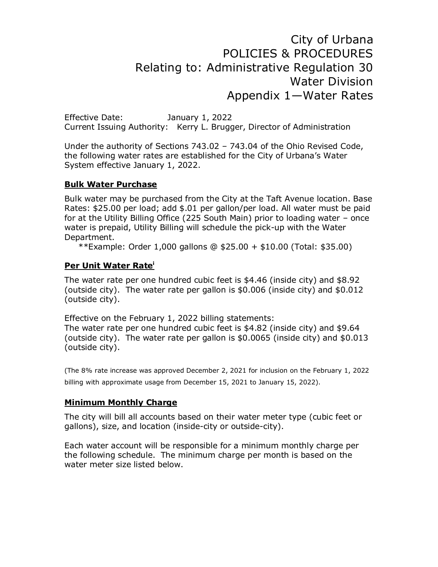# City of Urbana POLICIES & PROCEDURES Relating to: Administrative Regulation 30 Water Division Appendix 1—Water Rates

Effective Date: January 1, 2022 Current Issuing Authority: Kerry L. Brugger, Director of Administration

Under the authority of Sections 743.02 – 743.04 of the Ohio Revised Code, the following water rates are established for the City of Urbana's Water System effective January 1, 2022.

#### **Bulk Water Purchase**

Bulk water may be purchased from the City at the Taft Avenue location. Base Rates: \$25.00 per load; add \$.01 per gallon/per load. All water must be paid for at the Utility Billing Office (225 South Main) prior to loading water – once water is prepaid, Utility Billing will schedule the pick-up with the Water Department.

\*\*Example: Order 1,000 gallons @ \$25.00 + \$10.00 (Total: \$35.00)

#### **Per Unit Water Rate<sup>i</sup>**

The water rate per one hundred cubic feet is \$4.46 (inside city) and \$8.92 (outside city). The water rate per gallon is \$0.006 (inside city) and \$0.012 (outside city).

Effective on the February 1, 2022 billing statements: The water rate per one hundred cubic feet is \$4.82 (inside city) and \$9.64 (outside city). The water rate per gallon is \$0.0065 (inside city) and \$0.013 (outside city).

(The 8% rate increase was approved December 2, 2021 for inclusion on the February 1, 2022 billing with approximate usage from December 15, 2021 to January 15, 2022).

### **Minimum Monthly Charge**

The city will bill all accounts based on their water meter type (cubic feet or gallons), size, and location (inside-city or outside-city).

Each water account will be responsible for a minimum monthly charge per the following schedule. The minimum charge per month is based on the water meter size listed below.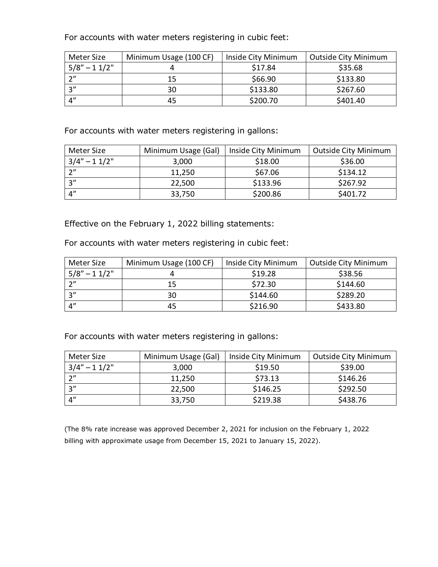For accounts with water meters registering in cubic feet:

| Meter Size           | Minimum Usage (100 CF) | Inside City Minimum | <b>Outside City Minimum</b> |
|----------------------|------------------------|---------------------|-----------------------------|
| $5/8'' - 11/2''$     |                        | \$17.84             | \$35.68                     |
| $\gamma$ "           | 15                     | \$66.90             | \$133.80                    |
| 2"                   | 30                     | \$133.80            | \$267.60                    |
| $\mathbf{\Lambda}''$ | 45                     | \$200.70            | \$401.40                    |

For accounts with water meters registering in gallons:

| Meter Size           | Minimum Usage (Gal) | Inside City Minimum | Outside City Minimum |
|----------------------|---------------------|---------------------|----------------------|
| $3/4" - 11/2"$       | 3,000               | \$18.00             | \$36.00              |
| つ〃                   | 11,250              | \$67.06             | \$134.12             |
| 2"                   | 22,500              | \$133.96            | \$267.92             |
| $\mathbf{\Lambda}''$ | 33,750              | \$200.86            | \$401.72             |

Effective on the February 1, 2022 billing statements:

For accounts with water meters registering in cubic feet:

| Meter Size       | Minimum Usage (100 CF) | Inside City Minimum | <b>Outside City Minimum</b> |
|------------------|------------------------|---------------------|-----------------------------|
| $5/8'' - 11/2''$ |                        | \$19.28             | \$38.56                     |
| $\gamma$ "       | 15                     | \$72.30             | \$144.60                    |
| 2''              | 30                     | \$144.60            | \$289.20                    |
| 4''              | 45                     | \$216.90            | \$433.80                    |

For accounts with water meters registering in gallons:

| Meter Size     | Minimum Usage (Gal) | Inside City Minimum | <b>Outside City Minimum</b> |
|----------------|---------------------|---------------------|-----------------------------|
| $3/4" - 11/2"$ | 3,000               | \$19.50             | \$39.00                     |
| $\gamma$ "     | 11,250              | \$73.13             | \$146.26                    |
| 2''            | 22,500              | \$146.25            | \$292.50                    |
| $\varDelta''$  | 33,750              | \$219.38            | \$438.76                    |

(The 8% rate increase was approved December 2, 2021 for inclusion on the February 1, 2022 billing with approximate usage from December 15, 2021 to January 15, 2022).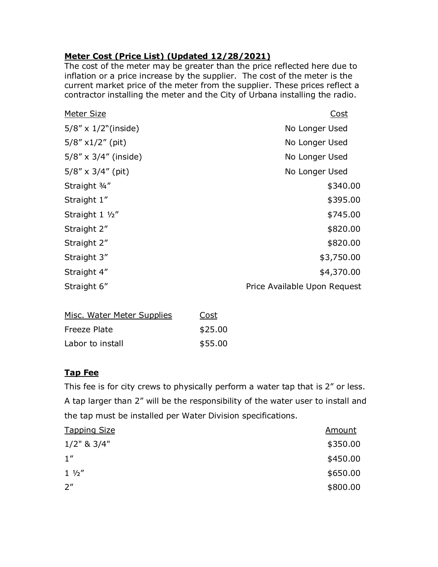## **Meter Cost (Price List) (Updated 12/28/2021)**

The cost of the meter may be greater than the price reflected here due to inflation or a price increase by the supplier. The cost of the meter is the current market price of the meter from the supplier. These prices reflect a contractor installing the meter and the City of Urbana installing the radio.

| Meter Size                    | <u>Cost</u>                  |
|-------------------------------|------------------------------|
| $5/8'' \times 1/2''$ (inside) | No Longer Used               |
| $5/8''$ x1/2" (pit)           | No Longer Used               |
| $5/8'' \times 3/4''$ (inside) | No Longer Used               |
| $5/8'' \times 3/4''$ (pit)    | No Longer Used               |
| Straight 3/4"                 | \$340.00                     |
| Straight 1"                   | \$395.00                     |
| Straight 1 1/2"               | \$745.00                     |
| Straight 2"                   | \$820.00                     |
| Straight 2"                   | \$820.00                     |
| Straight 3"                   | \$3,750.00                   |
| Straight 4"                   | \$4,370.00                   |
| Straight 6"                   | Price Available Upon Request |

| Misc. Water Meter Supplies | Cost    |
|----------------------------|---------|
| Freeze Plate               | \$25.00 |
| Labor to install           | \$55.00 |

### **Tap Fee**

This fee is for city crews to physically perform a water tap that is 2" or less. A tap larger than 2" will be the responsibility of the water user to install and the tap must be installed per Water Division specifications.

| <b>Tapping Size</b> | <u>Amount</u> |
|---------------------|---------------|
| $1/2$ " & $3/4$ "   | \$350.00      |
| 1''                 | \$450.00      |
| $1 \frac{1}{2}$     | \$650.00      |
| $2^{\prime\prime}$  | \$800.00      |
|                     |               |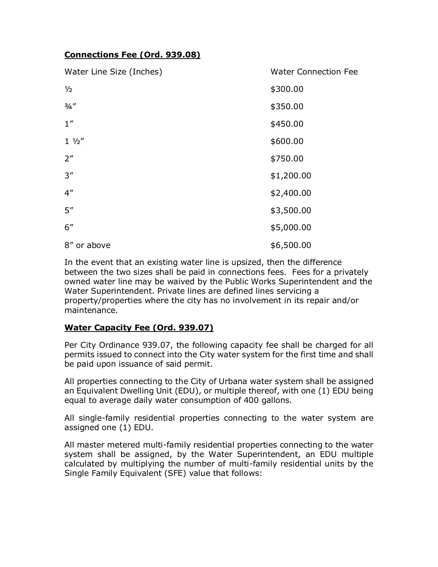### **Connections Fee (Ord. 939.08)**

| Water Line Size (Inches) | <b>Water Connection Fee</b> |
|--------------------------|-----------------------------|
| $\frac{1}{2}$            | \$300.00                    |
| 3/4''                    | \$350.00                    |
| 1''                      | \$450.00                    |
| $1 \frac{1}{2}$          | \$600.00                    |
| 2 <sup>''</sup>          | \$750.00                    |
| 3''                      | \$1,200.00                  |
| $4^{\prime\prime}$       | \$2,400.00                  |
| 5''                      | \$3,500.00                  |
| 6''                      | \$5,000.00                  |
| 8" or above              | \$6,500.00                  |

In the event that an existing water line is upsized, then the difference between the two sizes shall be paid in connections fees. Fees for a privately owned water line may be waived by the Public Works Superintendent and the Water Superintendent. Private lines are defined lines servicing a property/properties where the city has no involvement in its repair and/or maintenance.

### **Water Capacity Fee (Ord. 939.07)**

Per City Ordinance 939.07, the following capacity fee shall be charged for all permits issued to connect into the City water system for the first time and shall be paid upon issuance of said permit.

All properties connecting to the City of Urbana water system shall be assigned an Equivalent Dwelling Unit (EDU), or multiple thereof, with one (1) EDU being equal to average daily water consumption of 400 gallons.

All single-family residential properties connecting to the water system are assigned one (1) EDU.

All master metered multi-family residential properties connecting to the water system shall be assigned, by the Water Superintendent, an EDU multiple calculated by multiplying the number of multi-family residential units by the Single Family Equivalent (SFE) value that follows: